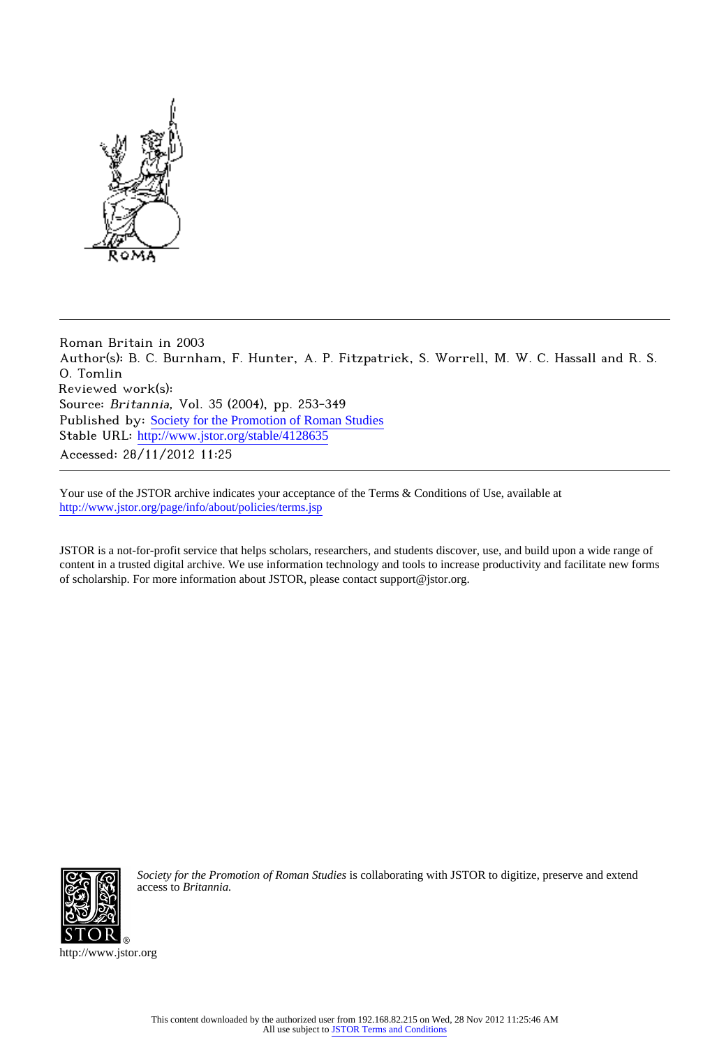

Roman Britain in 2003 Author(s): B. C. Burnham, F. Hunter, A. P. Fitzpatrick, S. Worrell, M. W. C. Hassall and R. S. O. Tomlin Reviewed work(s): Source: Britannia, Vol. 35 (2004), pp. 253-349 Published by: [Society for the Promotion of Roman Studies](http://www.jstor.org/action/showPublisher?publisherCode=sprs) Stable URL: [http://www.jstor.org/stable/4128635](http://www.jstor.org/stable/4128635?origin=JSTOR-pdf) Accessed: 28/11/2012 11:25

Your use of the JSTOR archive indicates your acceptance of the Terms & Conditions of Use, available at <http://www.jstor.org/page/info/about/policies/terms.jsp>

JSTOR is a not-for-profit service that helps scholars, researchers, and students discover, use, and build upon a wide range of content in a trusted digital archive. We use information technology and tools to increase productivity and facilitate new forms of scholarship. For more information about JSTOR, please contact support@jstor.org.



*Society for the Promotion of Roman Studies* is collaborating with JSTOR to digitize, preserve and extend access to *Britannia.*

http://www.jstor.org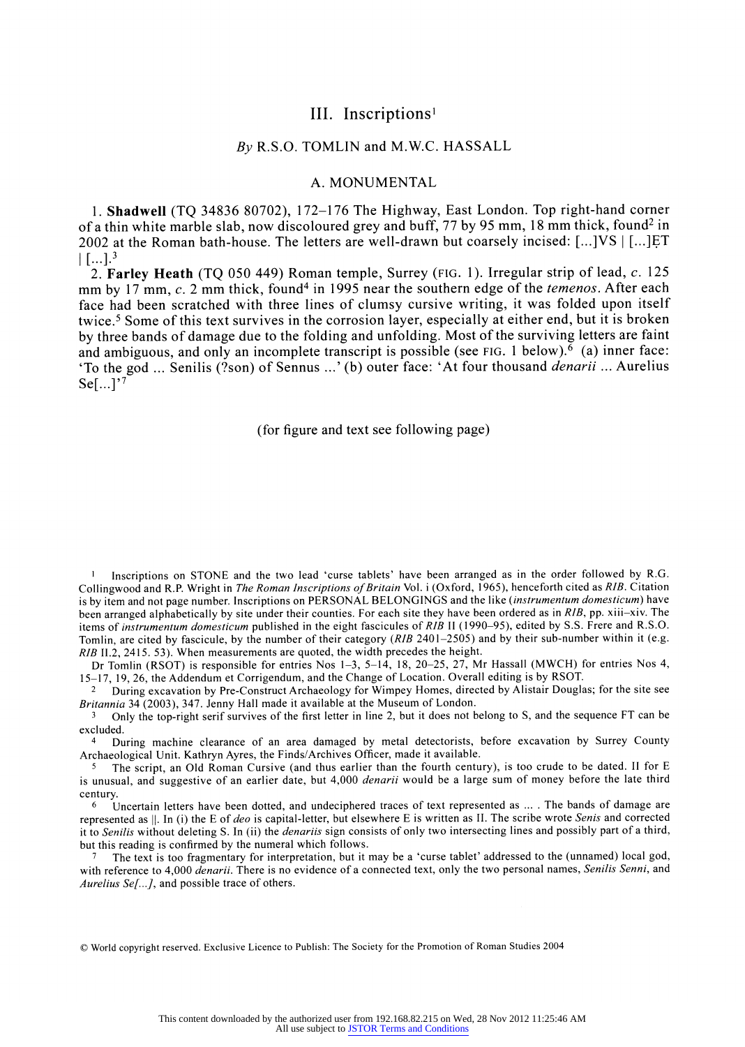# **III. Inscriptions'**

# **By R.S.O. TOMLIN and M.W.C. HASSALL**

# **A. MONUMENTAL**

**1. Shadwell (TQ 34836 80702), 172-176 The Highway, East London. Top right-hand corner of a thin white marble slab, now discoloured grey and buff, 77 by 95 mm, 18 mm thick, found2 in 2002 at the Roman bath-house. The letters are well-drawn but coarsely incised: [...]VS [...]ET**   $\left[$  [...]<sup>3</sup>

**2. Farley Heath (TQ 050 449) Roman temple, Surrey (FIG. 1). Irregular strip of lead, c. 125**  mm by 17 mm, c. 2 mm thick, found<sup>4</sup> in 1995 near the southern edge of the *temenos*. After each **face had been scratched with three lines of clumsy cursive writing, it was folded upon itself twice.5 Some of this text survives in the corrosion layer, especially at either end, but it is broken by three bands of damage due to the folding and unfolding. Most of the surviving letters are faint and ambiguous, and only an incomplete transcript is possible (see FIG. 1 below).6 (a) inner face: 'To the god ... Senilis (?son) of Sennus ...' (b) outer face: 'At four thousand denarii ... Aurelius Se[...]'7** 

**(for figure and text see following page)** 

**I Inscriptions on STONE and the two lead 'curse tablets' have been arranged as in the order followed by R.G. Collingwood and R.P. Wright in The Roman Inscriptions of Britain Vol. i (Oxford, 1965), henceforth cited as RIB. Citation is by item and not page number. Inscriptions on PERSONAL BELONGINGS and the like (instrumentum domesticum) have been arranged alphabetically by site under their counties. For each site they have been ordered as in RIB, pp. xiii-xiv. The items of instrumentum domesticum published in the eight fascicules of RIB II (1990-95), edited by S.S. Frere and R.S.O. Tomlin, are cited by fascicule, by the number of their category (RIB 2401-2505) and by their sub-number within it (e.g. RIB 11.2, 2415. 53). When measurements are quoted, the width precedes the height.** 

**Dr Tomlin (RSOT) is responsible for entries Nos 1-3, 5-14, 18, 20-25, 27, Mr Hassall (MWCH) for entries Nos 4, 15-17, 19, 26, the Addendum et Corrigendum, and the Change of Location. Overall editing is by RSOT.** 

**2 During excavation by Pre-Construct Archaeology for Wimpey Homes, directed by Alistair Douglas; for the site see Britannia 34 (2003), 347. Jenny Hall made it available at the Museum of London.** 

**<sup>3</sup>Only the top-right serif survives of the first letter in line 2, but it does not belong to S, and the sequence FT can be excluded.** 

**<sup>4</sup>During machine clearance of an area damaged by metal detectorists, before excavation by Surrey County Archaeological Unit. Kathryn Ayres, the Finds/Archives Officer, made it available.** 

**5 The script, an Old Roman Cursive (and thus earlier than the fourth century), is too crude to be dated. II for E is unusual, and suggestive of an earlier date, but 4,000 denarii would be a large sum of money before the late third century.** 

**6 Uncertain letters have been dotted, and undeciphered traces of text represented as .... The bands of damage are represented as 1I. In (i) the E of deo is capital-letter, but elsewhere E is written as II. The scribe wrote Senis and corrected it to Senilis without deleting S. In (ii) the denariis sign consists of only two intersecting lines and possibly part of a third, but this reading is confirmed by the numeral which follows.** 

**7 The text is too fragmentary for interpretation, but it may be a 'curse tablet' addressed to the (unnamed) local god, with reference to 4,000 denarii. There is no evidence of a connected text, only the two personal names, Senilis Senni, and Aurelius Se[...], and possible trace of others.** 

**? World copyright reserved. Exclusive Licence to Publish: The Society for the Promotion of Roman Studies 2004**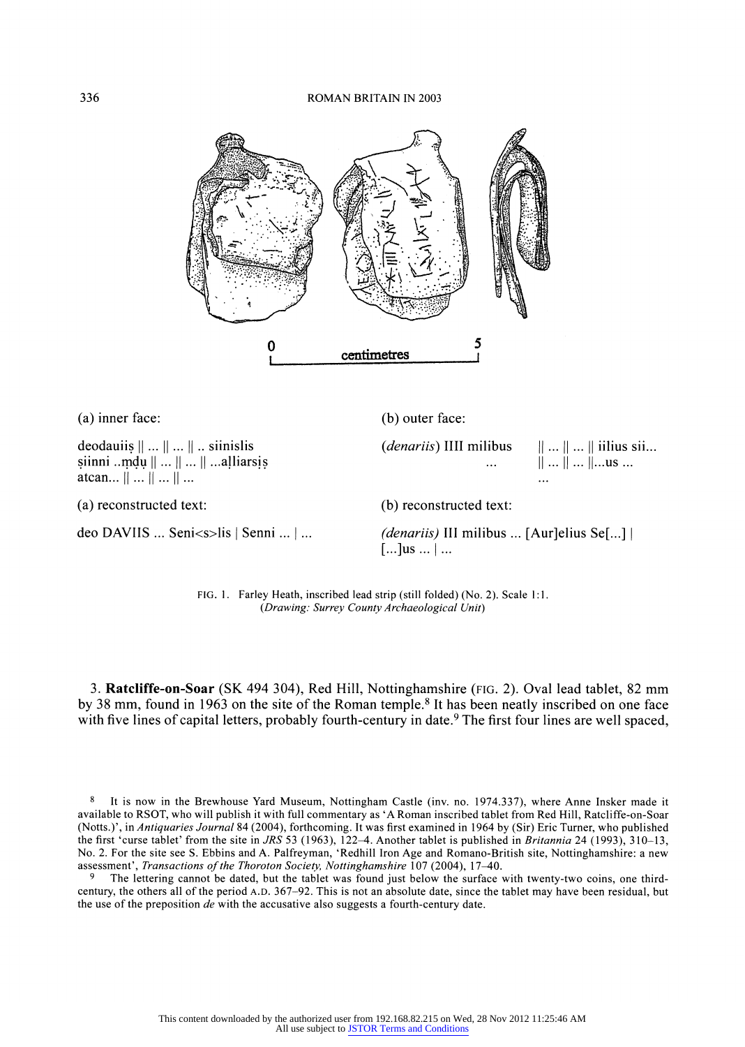

**3. Ratcliffe-on-Soar (SK 494 304), Red Hill, Nottinghamshire (FIG. 2). Oval lead tablet, 82 mm by 38 mm, found in 1963 on the site of the Roman temple.8 It has been neatly inscribed on one face with five lines of capital letters, probably fourth-century in date.9 The first four lines are well spaced,** 

**FIG. 1. Farley Heath, inscribed lead strip (still folded) (No. 2). Scale 1:1. (Drawing.: Surrey County Archaeological Unit)** 

deo DAVIIS ... Seni<s>lis | Senni ... | ... (*denariis*) III milibus ... [Aur]elius Se[...] |

 $\left[ \dots \right]$ us  $\dots \left[ \dots \right]$ 

**(a) reconstructed text: (b) reconstructed text:** 

**atcan...**  $|| \dots || \dots || \dots$ 

**<sup>8</sup> It is now in the Brewhouse Yard Museum, Nottingham Castle (inv. no. 1974.337), where Anne Insker made it available to RSOT, who will publish it with full commentary as 'A Roman inscribed tablet from Red Hill, Ratcliffe-on-Soar (Notts.)', in Antiquaries Journal 84 (2004), forthcoming. It was first examined in 1964 by (Sir) Eric Turner, who published the first 'curse tablet' from the site in JRS 53 (1963), 122-4. Another tablet is published in Britannia 24 (1993), 310-13, No. 2. For the site see S. Ebbins and A. Palfreyman, 'Redhill Iron Age and Romano-British site, Nottinghamshire: a new assessment', Transactions of the Thoroton Society, Nottinghamshire 107 (2004), 17-40.** 

**<sup>9</sup> The lettering cannot be dated, but the tablet was found just below the surface with twenty-two coins, one thirdcentury, the others all of the period A.D. 367-92. This is not an absolute date, since the tablet may have been residual, but the use of the preposition de with the accusative also suggests a fourth-century date.**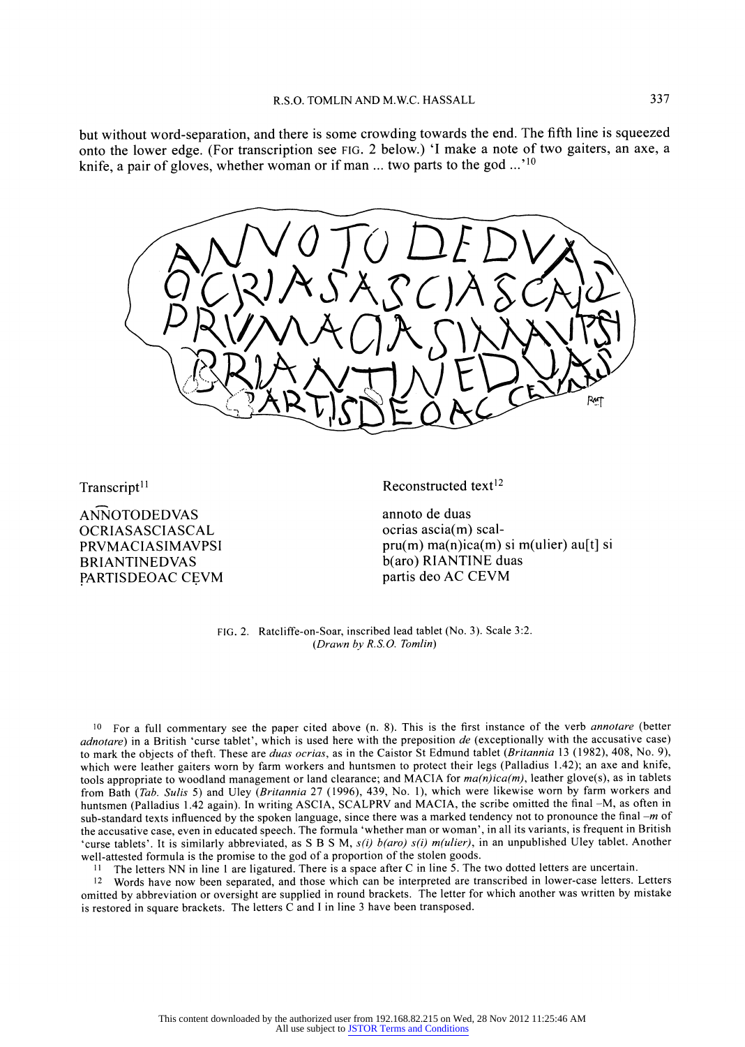**but without word-separation, and there is some crowding towards the end. The fifth line is squeezed onto the lower edge. (For transcription see FIG. 2 below.) 'I make a note of two gaiters, an axe, a knife, a pair of gloves, whether woman or if man ... two parts to the god ...' <sup>10</sup>**



Transcript<sup>11</sup>

**ANNOTODEDVAS OCRIASASCIASCAL PRVMACIASIMAVPSI BRIANTINEDVAS PARTISDEOAC CEVM**  **Reconstructed text12** 

**annoto de duas ocrias ascia(m) scalpru(m) ma(n)ica(m) si m(ulier) au[t] si b(aro) RIANTINE duas partis deo AC CEVM** 

**FIG. 2. Ratcliffe-on-Soar, inscribed lead tablet (No. 3). Scale 3:2. (Drawn by R.S.O. Tomlin)** 

**10 For a full commentary see the paper cited above (n. 8). This is the first instance of the verb annotare (better adnotare) in a British 'curse tablet', which is used here with the preposition de (exceptionally with the accusative case) to mark the objects of theft. These are duas ocrias, as in the Caistor St Edmund tablet (Britannia 13 (1982), 408, No. 9), which were leather gaiters worn by farm workers and huntsmen to protect their legs (Palladius 1.42); an axe and knife, tools appropriate to woodland management or land clearance; and MACIA for ma(n)ica(m), leather glove(s), as in tablets from Bath (Tab. Sulis 5) and Uley (Britannia 27 (1996), 439, No. 1), which were likewise worn by farm workers and huntsmen (Palladius 1.42 again). In writing ASCIA, SCALPRV and MACIA, the scribe omitted the final -M, as often in sub-standard texts influenced by the spoken language, since there was a marked tendency not to pronounce the final -m of the accusative case, even in educated speech. The formula 'whether man or woman', in all its variants, is frequent in British**  'curse tablets'. It is similarly abbreviated, as S B S M, s(i) b(aro) s(i) m(ulier), in an unpublished Uley tablet. Another **well-attested formula is the promise to the god of a proportion of the stolen goods.** 

**11 The letters NN in line 1 are ligatured. There is a space after C in line 5. The two dotted letters are uncertain.** 

**12 Words have now been separated, and those which can be interpreted are transcribed in lower-case letters. Letters omitted by abbreviation or oversight are supplied in round brackets. The letter for which another was written by mistake is restored in square brackets. The letters C and I in line 3 have been transposed.**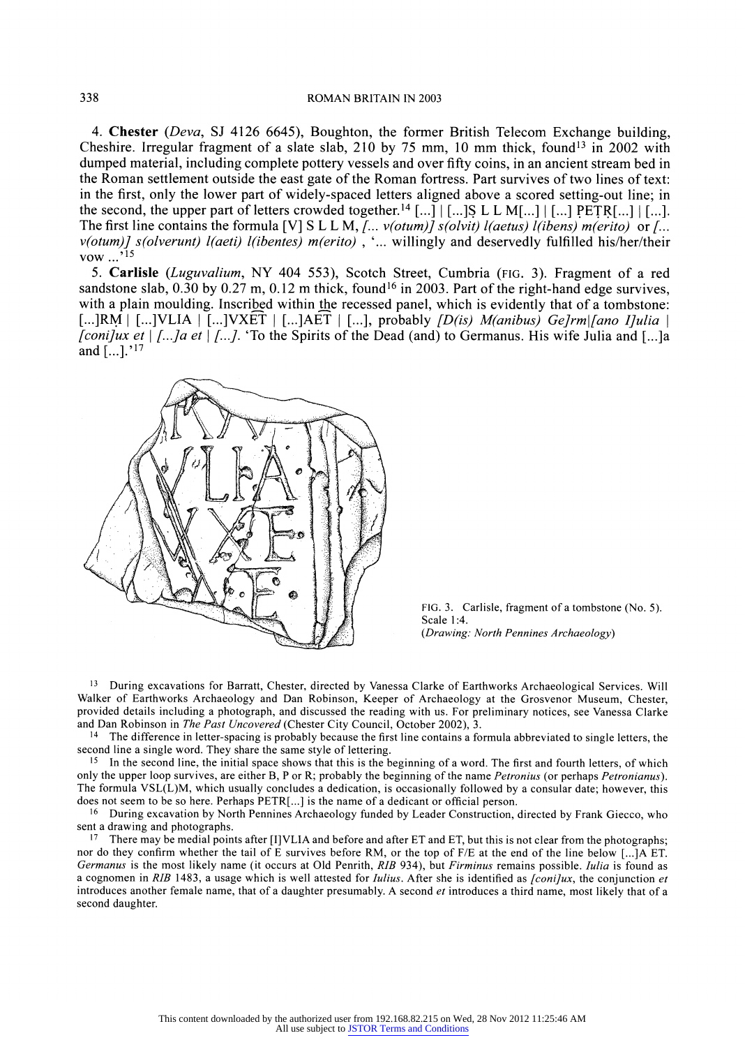**4. Chester (Deva, SJ 4126 6645), Boughton, the former British Telecom Exchange building,**  Cheshire. Irregular fragment of a slate slab, 210 by 75 mm, 10 mm thick, found<sup>13</sup> in 2002 with **dumped material, including complete pottery vessels and over fifty coins, in an ancient stream bed in the Roman settlement outside the east gate of the Roman fortress. Part survives of two lines of text: in the first, only the lower part of widely-spaced letters aligned above a scored setting-out line; in**  the second, the upper part of letters crowded together.<sup>14</sup>  $[...]$   $\lceil$  ...]  $\lceil$  ...]  $\lceil$  ...]  $\lceil$  PETR[...]  $\lceil$  [...]. The first line contains the formula [V] S L L M, *J... v(otum)] s(olvit) l(aetus) l(ibens) m(erito)* or *J...* **v(otum)] s(olverunt) 1(aeti) 1(ibentes) m(erito) , '... willingly and deservedly fulfilled his/her/their vow** ...<sup>'15</sup>

**5. Carlisle (Luguvalium, NY 404 553), Scotch Street, Cumbria (FIG. 3). Fragment of a red**  sandstone slab, 0.30 by 0.27 m, 0.12 m thick, found<sup>16</sup> in 2003. Part of the right-hand edge survives, **with a plain moulding. Inscribed within the recessed panel, which is evidently that of a tombstone:**   $\left[\ldots | RM \mid [\ldots] VLLA \mid [\ldots] VXET \mid [\ldots] AET \mid [\ldots] \right]$ , probably  $\left[ D(is) \text{ \textit{M}}(anibus) \text{ \textit{G}}(I)$  and I]ulia **[coni]ux et [...]a et [..]. 'To the Spirits of the Dead (and) to Germanus. His wife Julia and [...]a and [...].'17** 



**FIG. 3. Carlisle, fragment of a tombstone (No. 5). Scale 1:4. (Drawing: North Pennines Archaeology)** 

**<sup>13</sup>During excavations for Barratt, Chester, directed by Vanessa Clarke of Earthworks Archaeological Services. Will Walker of Earthworks Archaeology and Dan Robinson, Keeper of Archaeology at the Grosvenor Museum, Chester, provided details including a photograph, and discussed the reading with us. For preliminary notices, see Vanessa Clarke and Dan Robinson in The Past Uncovered (Chester City Council, October 2002), 3.** 

**14 The difference in letter-spacing is probably because the first line contains a formula abbreviated to single letters, the second line a single word. They share the same style of lettering.** 

**15 In the second line, the initial space shows that this is the beginning of a word. The first and fourth letters, of which**  only the upper loop survives, are either B, P or R; probably the beginning of the name *Petronius* (or perhaps *Petronianus*). **The formula VSL(L)M, which usually concludes a dedication, is occasionally followed by a consular date; however, this does not seem to be so here. Perhaps PETR[...] is the name of a dedicant or official person.** 

**16 During excavation by North Pennines Archaeology funded by Leader Construction, directed by Frank Giecco, who sent a drawing and photographs.** 

**17 There may be medial points after [I]VLIA and before and after ET and ET, but this is not clear from the photographs; nor do they confirm whether the tail of E survives before RM, or the top of F/E at the end of the line below [...]A ET. Germanus is the most likely name (it occurs at Old Penrith, RIB 934), but Firminus remains possible. Iulia is found as**  a cognomen in RIB 1483, a usage which is well attested for *Iulius*. After she is identified as *[coni]ux*, the conjunction et **introduces another female name, that of a daughter presumably. A second et introduces a third name, most likely that of a second daughter.**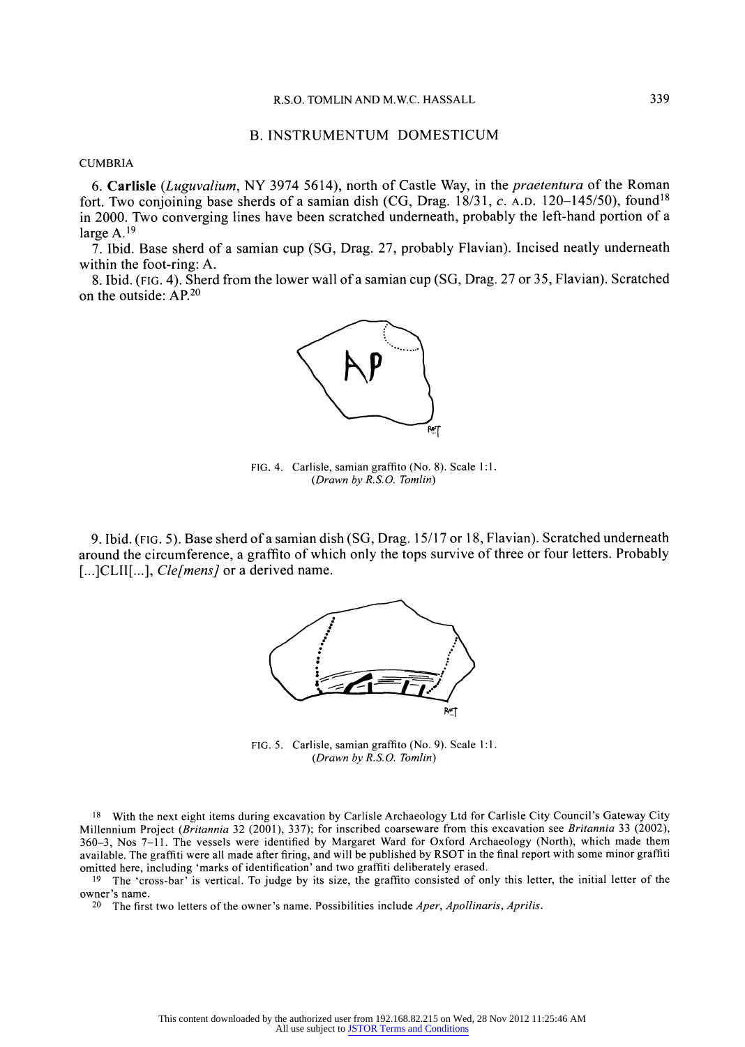# **B. INSTRUMENTUM DOMESTICUM**

**CUMBRIA** 

**6. Carlisle (Luguvalium, NY 3974 5614), north of Castle Way, in the praetentura of the Roman fort. Two conjoining base sherds of a samian dish (CG, Drag. 18/31, c. A.D. 120-145/50), found18 in 2000. Two converging lines have been scratched underneath, probably the left-hand portion of a large A.19** 

**7. Ibid. Base sherd of a samian cup (SG, Drag. 27, probably Flavian). Incised neatly underneath within the foot-ring: A.** 

**8. Ibid. (FIG. 4). Sherd from the lower wall of a samian cup (SG, Drag. 27 or 35, Flavian). Scratched on the outside: AP.20** 



**FIG. 4. Carlisle, samian graffito (No. 8). Scale 1:1. (Drawn by R.S.O. Tomlin)** 

**9. Ibid. (FIG. 5). Base sherd of a samian dish (SG, Drag. 15/17 or 18, Flavian). Scratched underneath around the circumference, a graffito of which only the tops survive of three or four letters. Probably**  [...]CLII[...], *Cle[mens]* or a derived name.



**FIG. 5. Carlisle, samian graffito (No. 9). Scale 1:1. (Drawn by R.S. O. Tomlin)** 

**18 With the next eight items during excavation by Carlisle Archaeology Ltd for Carlisle City Council's Gateway City Millennium Project (Britannia 32 (2001), 337); for inscribed coarseware from this excavation see Britannia 33 (2002), 360-3, Nos 7-11. The vessels were identified by Margaret Ward for Oxford Archaeology (North), which made them available. The graffiti were all made after firing, and will be published by RSOT in the final report with some minor graffiti omitted here, including 'marks of identification' and two graffiti deliberately erased.** 

**19 The 'cross-bar' is vertical. To judge by its size, the graffito consisted of only this letter, the initial letter of the owner's name.** 

**20 The first two letters of the owner's name. Possibilities include Aper, Apollinaris, Aprilis.**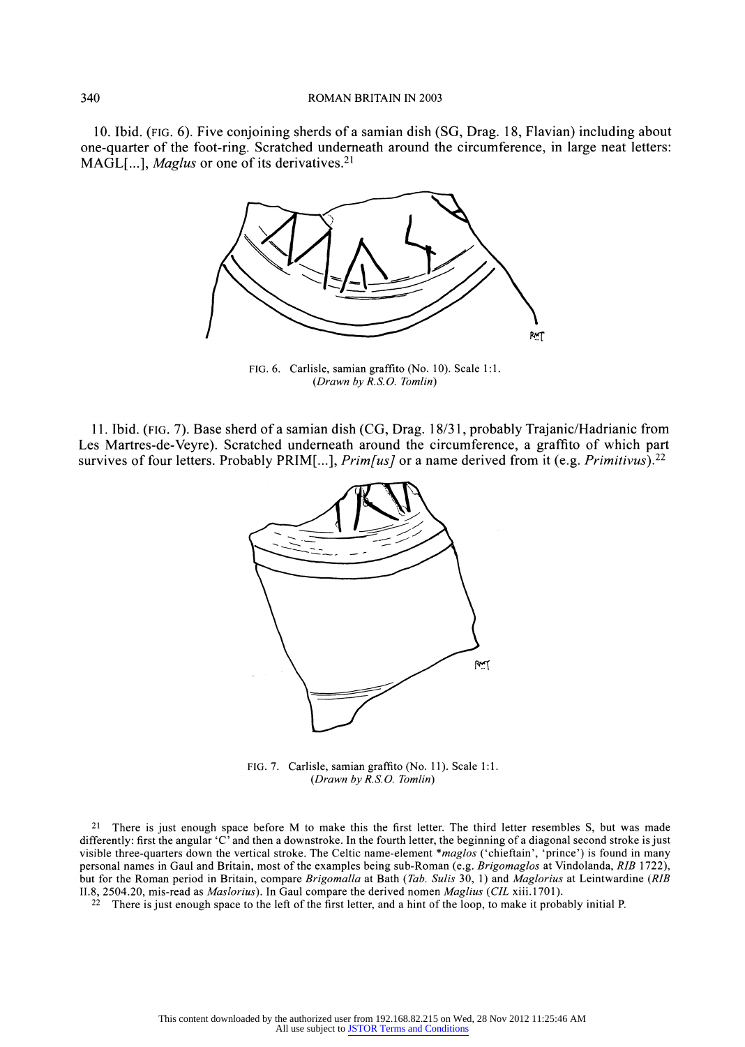**10. Ibid. (FIG. 6). Five conjoining sherds of a samian dish (SG, Drag. 18, Flavian) including about one-quarter of the foot-ring. Scratched underneath around the circumference, in large neat letters: MAGL[...], Maglus or one of its derivatives.21** 



**FIG. 6. Carlisle, samian graffito (No. 10). Scale 1:1. (Drawn by R.S.O. Tomlin)** 

**11. Ibid. (FIG. 7). Base sherd of a samian dish (CG, Drag. 18/31, probably Trajanic/Hadrianic from Les Martres-de-Veyre). Scratched underneath around the circumference, a graffito of which part survives of four letters. Probably PRIM[...], Prim[us] or a name derived from it (e.g. Primitivus).22** 



**FIG. 7. Carlisle, samian graffito (No. 11). Scale 1:1. (Drawn by R.S.O. Tomlin)** 

**21 There is just enough space before M to make this the first letter. The third letter resembles S, but was made differently: first the angular 'C' and then a downstroke. In the fourth letter, the beginning of a diagonal second stroke is just visible three-quarters down the vertical stroke. The Celtic name-element \*maglos ('chieftain', 'prince') is found in many personal names in Gaul and Britain, most of the examples being sub-Roman (e.g. Brigomaglos at Vindolanda, RIB 1722), but for the Roman period in Britain, compare Brigomalla at Bath (Tab. Sulis 30, 1) and Maglorius at Leintwardine (RIB 11.8, 2504.20, mis-read as Maslorius). In Gaul compare the derived nomen Maglius (CIL xiii.1701).** 

**22 There is just enough space to the left of the first letter, and a hint of the loop, to make it probably initial P.**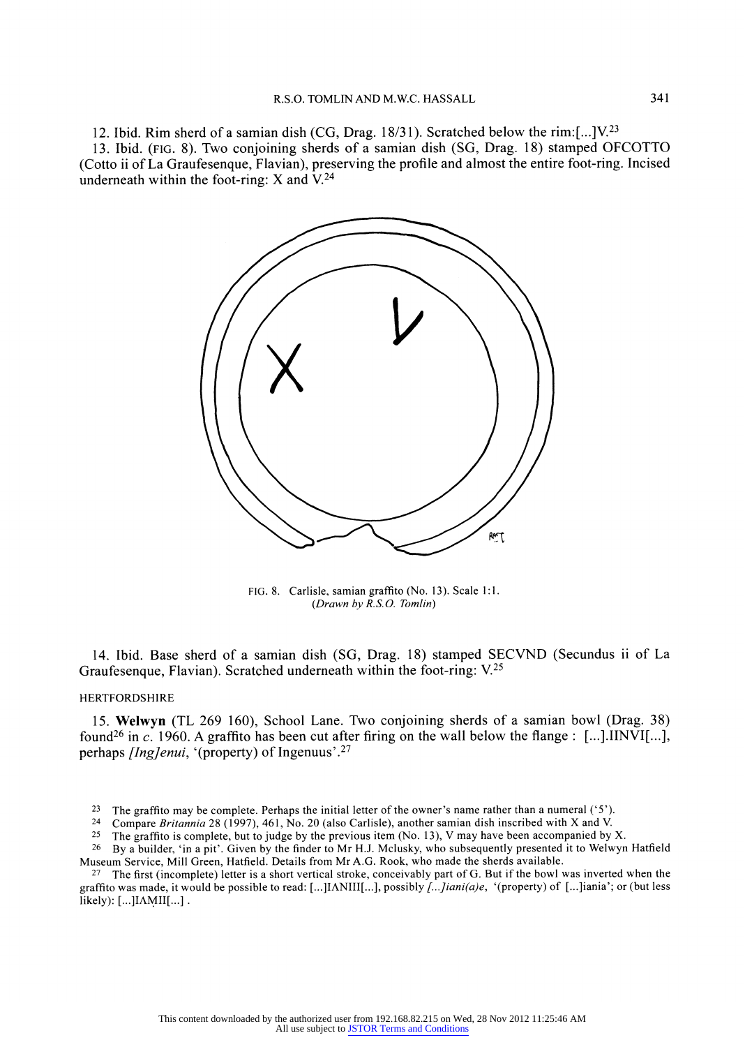**12. Ibid. Rim sherd of a samian dish (CG, Drag. 18/3 1). Scratched below the rim:[...]V.23 13. Ibid. (FIG. 8). Two conjoining sherds of a samian dish (SG, Drag. 18) stamped OFCOTTO (Cotto ii of La Graufesenque, Flavian), preserving the profile and almost the entire foot-ring. Incised underneath within the foot-ring: X and V.24** 



**FIG. 8. Carlisle, samian graffito (No. 13). Scale 1:1. (Drawn by R.S.O. Tomlin)** 

**14. Ibid. Base sherd of a samian dish (SG, Drag. 18) stamped SECVND (Secundus ii of La Graufesenque, Flavian). Scratched underneath within the foot-ring: V.25** 

## **HERTFORDSHIRE**

**15. Welwyn (TL 269 160), School Lane. Two conjoining sherds of a samian bowl (Drag. 38)**  found<sup>26</sup> in c. 1960. A graffito has been cut after firing on the wall below the flange : [...]. IINVI[...], **perhaps [Ing]enui, '(property) of Ingenuus'.27** 

- <sup>23</sup> The graffito may be complete. Perhaps the initial letter of the owner's name rather than a numeral ('5').<br><sup>24</sup> Compare Britannia 28 (1997) 461 No. 20 (also Carlisle), another samian dish inscribed with X and V.
- **24 Compare Britannia 28 (1997), 461, No. 20 (also Carlisle), another samian dish inscribed with X and V.**
- **25 The graffito is complete, but to judge by the previous item (No. 13), V may have been accompanied by X.**

**<sup>26</sup>By a builder, 'in a pit'. Given by the finder to Mr H.J. Mclusky, who subsequently presented it to Welwyn Hatfield Museum Service, Mill Green, Hatfield. Details from Mr A.G. Rook, who made the sherds available.** 

**27 The first (incomplete) letter is a short vertical stroke, conceivably part of G. But if the bowl was inverted when the graffito was made, it would be possible to read: [...]IANIII[...], possibly [...]iani(a)e, '(property) of [...]iania'; or (but less likely): [...]IAMII[...] .**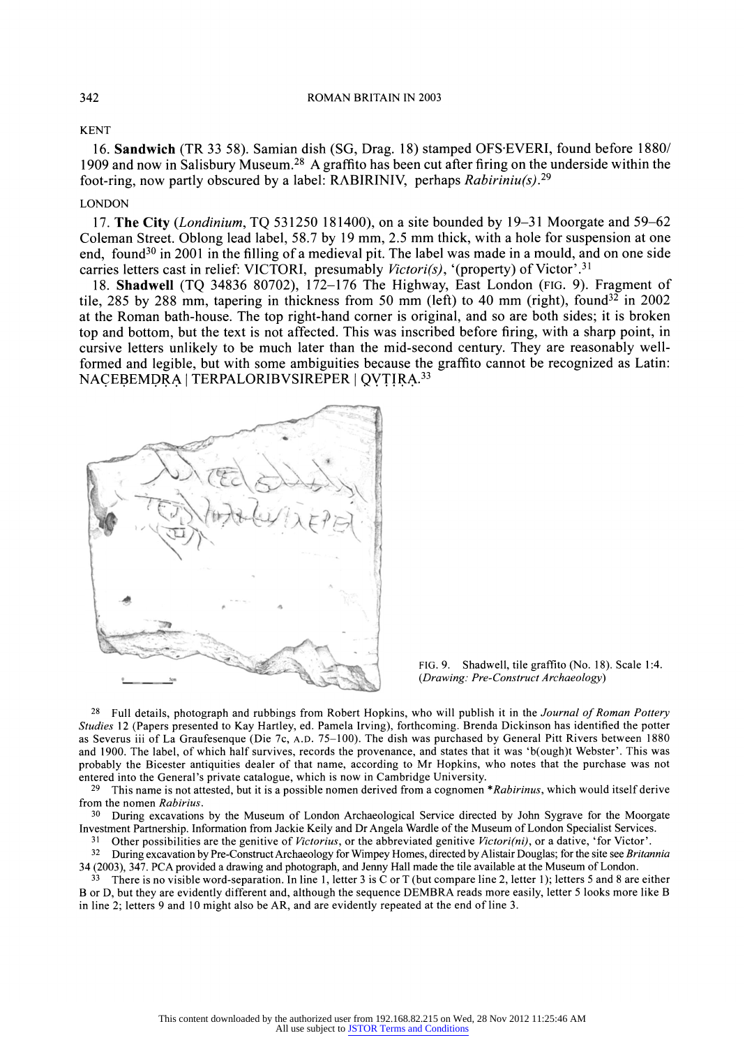## **KENT**

**16. Sandwich (TR 33 58). Samian dish (SG, Drag. 18) stamped OFS-EVERI, found before 1880/ 1909 and now in Salisbury Museum.28 A graffito has been cut after firing on the underside within the foot-ring, now partly obscured by a label: RABIRINIV, perhaps Rabiriniu(s).29** 

## **LONDON**

**17. The City (Londinium, TQ 531250 181400), on a site bounded by 19-31 Moorgate and 59-62 Coleman Street. Oblong lead label, 58.7 by 19 mm, 2.5 mm thick, with a hole for suspension at one end, found30 in 2001 in the filling of a medieval pit. The label was made in a mould, and on one side**  carries letters cast in relief: VICTORI, presumably *Victori(s)*, '(property) of Victor'.<sup>31</sup>

**18. Shadwell (TQ 34836 80702), 172-176 The Highway, East London (FIG. 9). Fragment of**  tile, 285 by 288 mm, tapering in thickness from 50 mm (left) to 40 mm (right), found<sup>32</sup> in 2002 **at the Roman bath-house. The top right-hand comer is original, and so are both sides; it is broken top and bottom, but the text is not affected. This was inscribed before firing, with a sharp point, in cursive letters unlikely to be much later than the mid-second century. They are reasonably wellformed and legible, but with some ambiguities because the graffito cannot be recognized as Latin: NACEBEMDRA I TERPALORIBVSIREPER I QYT!IRA.33** 





**<sup>28</sup>Full details, photograph and rubbings from Robert Hopkins, who will publish it in the Journal of Roman Pottery Studies 12 (Papers presented to Kay Hartley, ed. Pamela Irving), forthcoming. Brenda Dickinson has identified the potter as Severus iii of La Graufesenque (Die 7c, A.D. 75-100). The dish was purchased by General Pitt Rivers between 1880 and 1900. The label, of which half survives, records the provenance, and states that it was 'b(ough)t Webster'. This was probably the Bicester antiquities dealer of that name, according to Mr Hopkins, who notes that the purchase was not entered into the General's private catalogue, which is now in Cambridge University.** 

**<sup>29</sup>This name is not attested, but it is a possible nomen derived from a cognomen \*Rabirinus, which would itself derive from the nomen Rabirius.** 

**<sup>30</sup>During excavations by the Museum of London Archaeological Service directed by John Sygrave for the Moorgate Investment Partnership. Information from Jackie Keily and Dr Angela Wardle of the Museum of London Specialist Services.** 

<sup>31</sup> Other possibilities are the genitive of *Victorius*, or the abbreviated genitive *Victori(ni)*, or a dative, 'for Victor'.

**32 During excavation by Pre-Construct Archaeology for Wimpey Homes, directed by Alistair Douglas; for the site see Britannia 34 (2003), 347. PCA provided a drawing and photograph, and Jenny Hall made the tile available at the Museum of London.** 

**33 There is no visible word-separation. In line 1, letter 3 is C or T (but compare line 2, letter 1); letters 5 and 8 are either B or D, but they are evidently different and, although the sequence DEMBRA reads more easily, letter 5 looks more like B in line 2; letters 9 and 10 might also be AR, and are evidently repeated at the end of line 3.**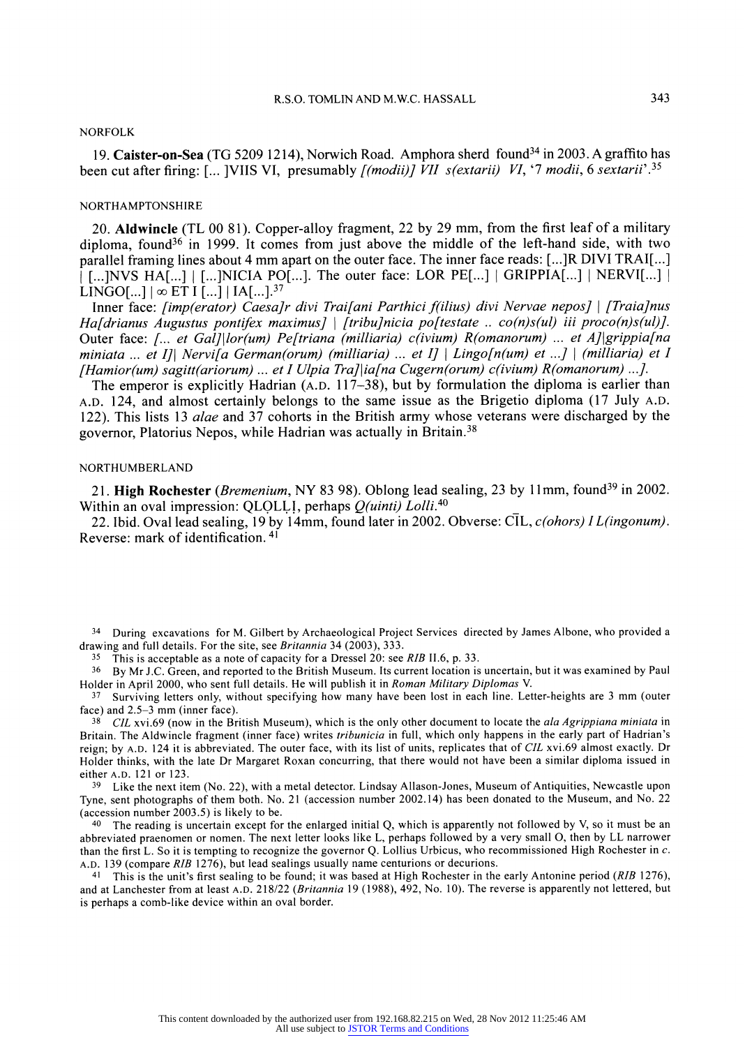## **NORFOLK**

**19. Caister-on-Sea (TG 5209 1214), Norwich Road. Amphora sherd found34 in 2003. A graffito has been cut after firing: [... ]VIIS VI, presumably [(modii)] VII s(extarii) VI, '7 modii, 6 sextarii'.35** 

#### **NORTHAMPTONSHIRE**

**20. Aldwincle (TL 00 81). Copper-alloy fragment, 22 by 29 mm, from the first leaf of a military diploma, found36 in 1999. It comes from just above the middle of the left-hand side, with two parallel framing lines about 4 mm apart on the outer face. The inner face reads: [...]R DIVI TRAI[...] 1 [...]NVS HA[...] I [...]NICIA PO[...]. The outer face: LOR PE[...] GRIPPIA[...] NERVI[...]**   $LINGO[...] \propto ET[I] ... ] |IA[...]^{37}$ 

**Inner face: [imp(erator) Caesa]r divi Trai[ani Parthici f(ilius) divi Nervae nepos] I [Traia]nus**  Ha[drianus Augustus pontifex maximus] | [tribu]nicia po[testate .. co(n)s(ul) iii proco(n)s(ul)]. **Outer face: [... et Gal]l|or(um) Pe[triana (milliaria) c(ivium) R(omanorum) ... et A]lgrippia[na miniata ... et I]l Nervi[a German(orum) (milliaria) ... et I] 1 Lingo[n(um) et ...] I (milliaria) et I [Hamior(um) sagitt(ariorum) ... et I Ulpia Tra]lia[na Cugern(orum) c(ivium) R(omanorum) ...].** 

**The emperor is explicitly Hadrian (A.D. 117-38), but by formulation the diploma is earlier than A.D. 124, and almost certainly belongs to the same issue as the Brigetio diploma (17 July A.D. 122). This lists 13 alae and 37 cohorts in the British army whose veterans were discharged by the governor, Platorius Nepos, while Hadrian was actually in Britain.38** 

### **NORTHUMBERLAND**

**21. High Rochester (Bremenium, NY 83 98). Oblong lead sealing, 23 by 1lmm, found39 in 2002. Within an oval impression: QLOLLI, perhaps Q(uinti) Lolli.40** 

**22. Ibid. Oval lead sealing, 19 by 14mm, found later in 2002. Obverse: CIL, c(ohors) IL(ingonum). Reverse: mark of identification. 41** 

**34 During excavations for M. Gilbert by Archaeological Project Services directed by James Albone, who provided a drawing and full details. For the site, see Britannia 34 (2003), 333.** 

**<sup>35</sup>This is acceptable as a note of capacity for a Dressel 20: see RIB 11.6, p. 33.** 

**36 By Mr J.C. Green, and reported to the British Museum. Its current location is uncertain, but it was examined by Paul Holder in April 2000, who sent full details. He will publish it in Roman Military Diplomas V.** 

**37 Surviving letters only, without specifying how many have been lost in each line. Letter-heights are 3 mm (outer face) and 2.5-3 mm (inner face).** 

**38 CIL xvi.69 (now in the British Museum), which is the only other document to locate the ala Agrippiana miniata in Britain. The Aldwincle fragment (inner face) writes tribunicia in full, which only happens in the early part of Hadrian's reign; by A.D. 124 it is abbreviated. The outer face, with its list of units, replicates that of CIL xvi.69 almost exactly. Dr Holder thinks, with the late Dr Margaret Roxan concurring, that there would not have been a similar diploma issued in either A.D. 121 or 123.** 

**39 Like the next item (No. 22), with a metal detector. Lindsay Allason-Jones, Museum of Antiquities, Newcastle upon Tyne, sent photographs of them both. No. 21 (accession number 2002.14) has been donated to the Museum, and No. 22 (accession number 2003.5) is likely to be.** 

**<sup>40</sup>The reading is uncertain except for the enlarged initial Q, which is apparently not followed by V, so it must be an abbreviated praenomen or nomen. The next letter looks like L, perhaps followed by a very small O, then by LL narrower than the first L. So it is tempting to recognize the governor Q. Lollius Urbicus, who recommissioned High Rochester in c. A.D. 139 (compare RIB 1276), but lead sealings usually name centurions or decurions.** 

**41 This is the unit's first sealing to be found; it was based at High Rochester in the early Antonine period (RIB 1276), and at Lanchester from at least A.D. 218/22 (Britannia 19 (1988), 492, No. 10). The reverse is apparently not lettered, but is perhaps a comb-like device within an oval border.**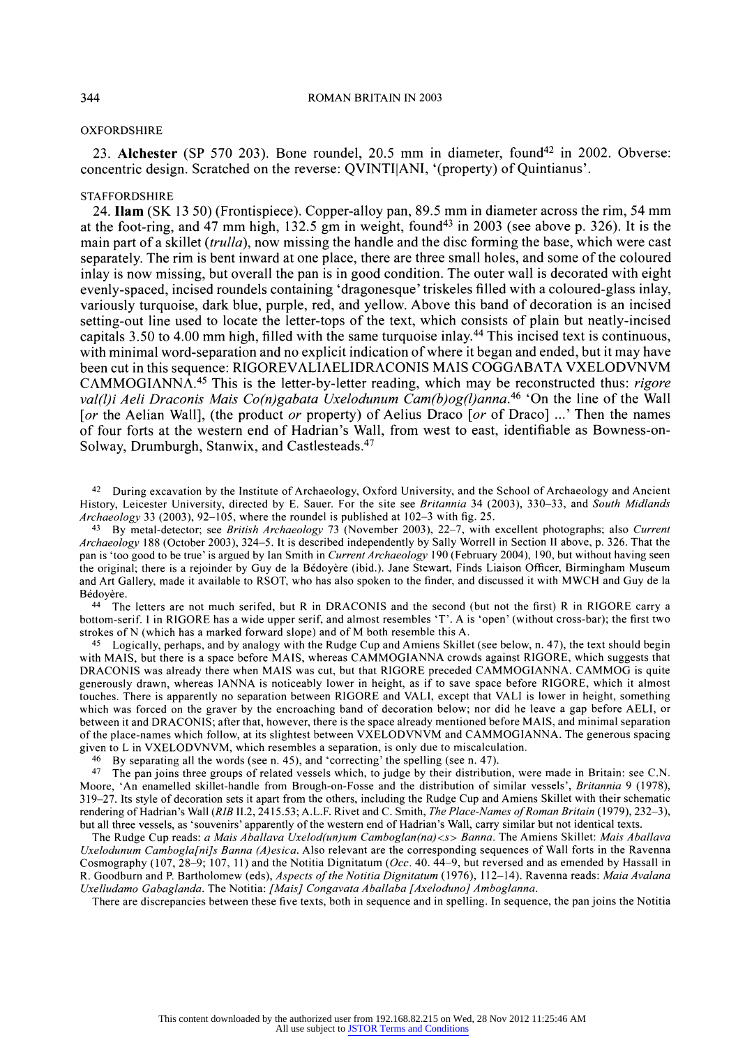## **OXFORDSHIRE**

23. **Alchester** (SP 570 203). Bone roundel, 20.5 mm in diameter, found<sup>42</sup> in 2002. Obverse: **concentric design. Scratched on the reverse: QVINTIIANI, '(property) of Quintianus'.** 

## **STAFFORDSHIRE**

**24. Ilam (SK 13 50) (Frontispiece). Copper-alloy pan, 89.5 mm in diameter across the rim, 54 mm at the foot-ring, and 47 mm high, 132.5 gm in weight, found43 in 2003 (see above p. 326). It is the main part of a skillet (trulla), now missing the handle and the disc forming the base, which were cast separately. The rim is bent inward at one place, there are three small holes, and some of the coloured inlay is now missing, but overall the pan is in good condition. The outer wall is decorated with eight evenly-spaced, incised roundels containing 'dragonesque' triskeles filled with a coloured-glass inlay, variously turquoise, dark blue, purple, red, and yellow. Above this band of decoration is an incised setting-out line used to locate the letter-tops of the text, which consists of plain but neatly-incised capitals 3.50 to 4.00 mm high, filled with the same turquoise inlay.44 This incised text is continuous, with minimal word-separation and no explicit indication of where it began and ended, but it may have been cut in this sequence: RIGOREVALIAELIDRACONIS MAIS COGGABATA VXELODVNVM CAMMOGIANNA.45 This is the letter-by-letter reading, which may be reconstructed thus: rigore**  val(l)i Aeli Draconis Mais Co(n)gabata Uxelodunum Cam(b)og(l)anna.<sup>46</sup> 'On the line of the Wall **[or the Aelian Wall], (the product or property) of Aelius Draco [or of Draco] ...' Then the names of four forts at the western end of Hadrian's Wall, from west to east, identifiable as Bowness-on-Solway, Drumburgh, Stanwix, and Castlesteads.47** 

**42 During excavation by the Institute of Archaeology, Oxford University, and the School of Archaeology and Ancient History, Leicester University, directed by E. Sauer. For the site see Britannia 34 (2003), 330-33, and South Midlands Archaeology 33 (2003), 92-105, where the roundel is published at 102-3 with fig. 25.** 

**43 By metal-detector; see British Archaeology 73 (November 2003), 22-7, with excellent photographs; also Current Archaeology 188 (October 2003), 324-5. It is described independently by Sally Worrell in Section II above, p. 326. That the pan is 'too good to be true' is argued by Ian Smith in Current Archaeology 190 (February 2004), 190, but without having seen**  the original; there is a rejoinder by Guy de la Bédoyère (ibid.). Jane Stewart, Finds Liaison Officer, Birmingham Museum **and Art Gallery, made it available to RSOT, who has also spoken to the finder, and discussed it with MWCH and Guy de la**  Bédovère.

**44 The letters are not much serifed, but R in DRACONIS and the second (but not the first) R in RIGORE carry a bottom-serif. I in RIGORE has a wide upper serif, and almost resembles 'T'. A is 'open' (without cross-bar); the first two strokes of N (which has a marked forward slope) and of M both resemble this A.** 

**45 Logically, perhaps, and by analogy with the Rudge Cup and Amiens Skillet (see below, n. 47), the text should begin with MAIS, but there is a space before MAIS, whereas CAMMOGIANNA crowds against RIGORE, which suggests that DRACONIS was already there when MAIS was cut, but that RIGORE preceded CAMMOGIANNA. CAMMOG is quite generously drawn, whereas IANNA is noticeably lower in height, as if to save space before RIGORE, which it almost touches. There is apparently no separation between RIGORE and VALI, except that VALI is lower in height, something which was forced on the graver by the encroaching band of decoration below; nor did he leave a gap before AELI, or between it and DRACONIS; after that, however, there is the space already mentioned before MAIS, and minimal separation of the place-names which follow, at its slightest between VXELODVNVM and CAMMOGIANNA. The generous spacing given to L in VXELODVNVM, which resembles a separation, is only due to miscalculation.** 

**46 By separating all the words (see n. 45), and 'correcting' the spelling (see n. 47).** 

**<sup>47</sup>The pan joins three groups of related vessels which, to judge by their distribution, were made in Britain: see C.N. Moore, 'An enamelled skillet-handle from Brough-on-Fosse and the distribution of similar vessels', Britannia 9 (1978), 319-27. Its style of decoration sets it apart from the others, including the Rudge Cup and Amiens Skillet with their schematic**  rendering of Hadrian's Wall (RIB II.2, 2415.53; A.L.F. Rivet and C. Smith, *The Place-Names of Roman Britain* (1979), 232-3), **but all three vessels, as 'souvenirs' apparently of the western end of Hadrian's Wall, carry similar but not identical texts.** 

**The Rudge Cup reads: a Mais Aballava Uxelod(un)um Camboglan(na)<s> Banna. The Amiens Skillet: Mais Aballava Uxelodunum Cambogla[ni]s Banna (A)esica. Also relevant are the corresponding sequences of Wall forts in the Ravenna Cosmography (107, 28-9; 107, 11) and the Notitia Dignitatum (Occ. 40. 44-9, but reversed and as emended by Hassall in R. Goodburn and P. Bartholomew (eds), Aspects of the Notitia Dignitatum (1976), 112-14). Ravenna reads: Maia Avalana Uxelludamo Gabaglanda. The Notitia: [Mais] Congavata Aballaba [Axeloduno] Amboglanna.** 

**There are discrepancies between these five texts, both in sequence and in spelling. In sequence, the pan joins the Notitia**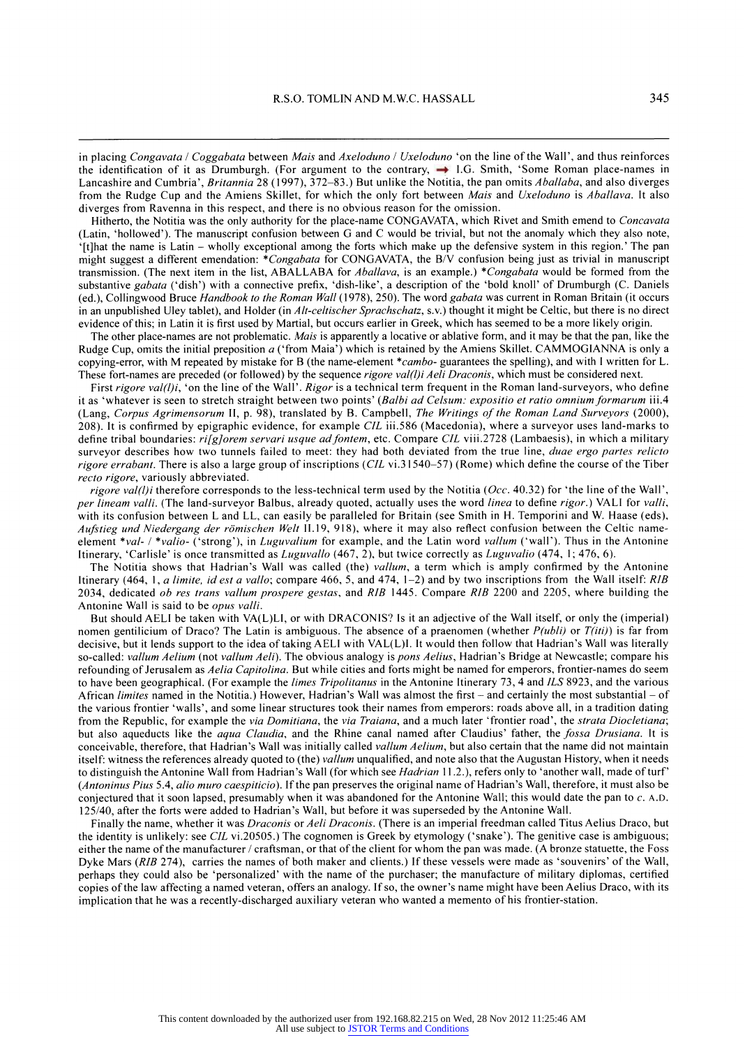in placing Congavata / Coggabata between Mais and Axeloduno / Uxeloduno 'on the line of the Wall', and thus reinforces the identification of it as Drumburgh. (For argument to the contrary,  $\rightarrow$  I.G. Smith, 'Some Roman place-names in **Lancashire and Cumbria', Britannia 28 (1997), 372-83.) But unlike the Notitia, the pan omits Aballaba, and also diverges from the Rudge Cup and the Amiens Skillet, for which the only fort between Mais and Uxeloduno is Aballava. It also diverges from Ravenna in this respect, and there is no obvious reason for the omission.** 

**Hitherto, the Notitia was the only authority for the place-name CONGAVATA, which Rivet and Smith emend to Concavata (Latin, 'hollowed'). The manuscript confusion between G and C would be trivial, but not the anomaly which they also note, '[t]hat the name is Latin - wholly exceptional among the forts which make up the defensive system in this region.' The pan might suggest a different emendation: \*Congabata for CONGAVATA, the B/V confusion being just as trivial in manuscript transmission. (The next item in the list, ABALLABA for Aballava, is an example.) \*Congabata would be formed from the substantive gabata ('dish') with a connective prefix, 'dish-like', a description of the 'bold knoll' of Drumburgh (C. Daniels (ed.), Collingwood Bruce Handbook to the Roman Wall (1978), 250). The word gabata was current in Roman Britain (it occurs in an unpublished Uley tablet), and Holder (in Alt-celtischer Sprachschatz, s.v.) thought it might be Celtic, but there is no direct evidence of this; in Latin it is first used by Martial, but occurs earlier in Greek, which has seemed to be a more likely origin.** 

The other place-names are not problematic. *Mais* is apparently a locative or ablative form, and it may be that the pan, like the **Rudge Cup, omits the initial preposition a ('from Maia') which is retained by the Amiens Skillet. CAMMOGIANNA is only a copying-error, with M repeated by mistake for B (the name-element \*cambo- guarantees the spelling), and with I written for L. These fort-names are preceded (or followed) by the sequence rigore val(l)i Aeli Draconis, which must be considered next.** 

First rigore val(l)i, 'on the line of the Wall'. Rigor is a technical term frequent in the Roman land-surveyors, who define it as 'whatever is seen to stretch straight between two points' (Balbi ad Celsum: expositio et ratio omnium formarum iii.4 **(Lang, Corpus Agrimensorum II, p. 98), translated by B. Campbell, The Writings of the Roman Land Surveyors (2000), 208). It is confirmed by epigraphic evidence, for example CIL iii.586 (Macedonia), where a surveyor uses land-marks to**  define tribal boundaries: rifglorem servari usque ad fontem, etc. Compare CIL viii.2728 (Lambaesis), in which a military **surveyor describes how two tunnels failed to meet: they had both deviated from the true line, duae ergo partes relicto rigore errabant. There is also a large group of inscriptions (CIL vi.3 1540-57) (Rome) which define the course of the Tiber recto rigore, variously abbreviated.** 

rigore val(l)i therefore corresponds to the less-technical term used by the Notitia (Occ. 40.32) for 'the line of the Wall', **per lineam valli. (The land-surveyor Balbus, already quoted, actually uses the word linea to define rigor.) VALI for valli, with its confusion between L and LL, can easily be paralleled for Britain (see Smith in H. Temporini and W. Haase (eds),**  Aufstieg und Niedergang der römischen Welt II.19, 918), where it may also reflect confusion between the Celtic name**element \*val- / \*valio- ('strong'), in Luguvalium for example, and the Latin word vallum ('wall'). Thus in the Antonine Itinerary, 'Carlisle' is once transmitted as Luguvallo (467, 2), but twice correctly as Luguvalio (474, 1; 476, 6).** 

**The Notitia shows that Hadrian's Wall was called (the) vallum, a term which is amply confirmed by the Antonine Itinerary (464, 1, a limite, id est a vallo; compare 466, 5, and 474, 1-2) and by two inscriptions from the Wall itself: RIB 2034, dedicated ob res trans vallum prospere gestas, and RIB 1445. Compare RIB 2200 and 2205, where building the Antonine Wall is said to be opus valli.** 

**But should AELI be taken with VA(L)LI, or with DRACONIS? Is it an adjective of the Wall itself, or only the (imperial)**  nomen gentilicium of Draco? The Latin is ambiguous. The absence of a praenomen (whether  $P(\text{ubli})$  or  $T(\text{iti})$ ) is far from **decisive, but it lends support to the idea of taking AELI with VAL(L)I. It would then follow that Hadrian's Wall was literally so-called: vallum Aelium (not vallum Aeli). The obvious analogy is pons Aelius, Hadrian's Bridge at Newcastle; compare his refounding of Jerusalem as Aelia Capitolina. But while cities and forts might be named for emperors, frontier-names do seem to have been geographical. (For example the limes Tripolitanus in the Antonine Itinerary 73, 4 and ILS 8923, and the various African limites named in the Notitia.) However, Hadrian's Wall was almost the first - and certainly the most substantial - of the various frontier 'walls', and some linear structures took their names from emperors: roads above all, in a tradition dating from the Republic, for example the via Domitiana, the via Traiana, and a much later 'frontier road', the strata Diocletiana; but also aqueducts like the aqua Claudia, and the Rhine canal named after Claudius' father, the fossa Drusiana. It is conceivable, therefore, that Hadrian's Wall was initially called vallum Aelium, but also certain that the name did not maintain itself: witness the references already quoted to (the) vallum unqualified, and note also that the Augustan History, when it needs to distinguish the Antonine Wall from Hadrian's Wall (for which see Hadrian 11.2.), refers only to 'another wall, made of turf' (Antoninus Pius 5.4, alio muro caespiticio). If the pan preserves the original name of Hadrian's Wall, therefore, it must also be conjectured that it soon lapsed, presumably when it was abandoned for the Antonine Wall; this would date the pan to c. A.D. 125/40, after the forts were added to Hadrian's Wall, but before it was superseded by the Antonine Wall.** 

**Finally the name, whether it was Draconis or Aeli Draconis. (There is an imperial freedman called Titus Aelius Draco, but the identity is unlikely: see CIL vi.20505.) The cognomen is Greek by etymology ('snake'). The genitive case is ambiguous; either the name of the manufacturer /craftsman, or that of the client for whom the pan was made. (A bronze statuette, the Foss Dyke Mars (RIB 274), carries the names of both maker and clients.) If these vessels were made as 'souvenirs' of the Wall, perhaps they could also be 'personalized' with the name of the purchaser; the manufacture of military diplomas, certified copies of the law affecting a named veteran, offers an analogy. If so, the owner's name might have been Aelius Draco, with its implication that he was a recently-discharged auxiliary veteran who wanted a memento of his frontier-station.**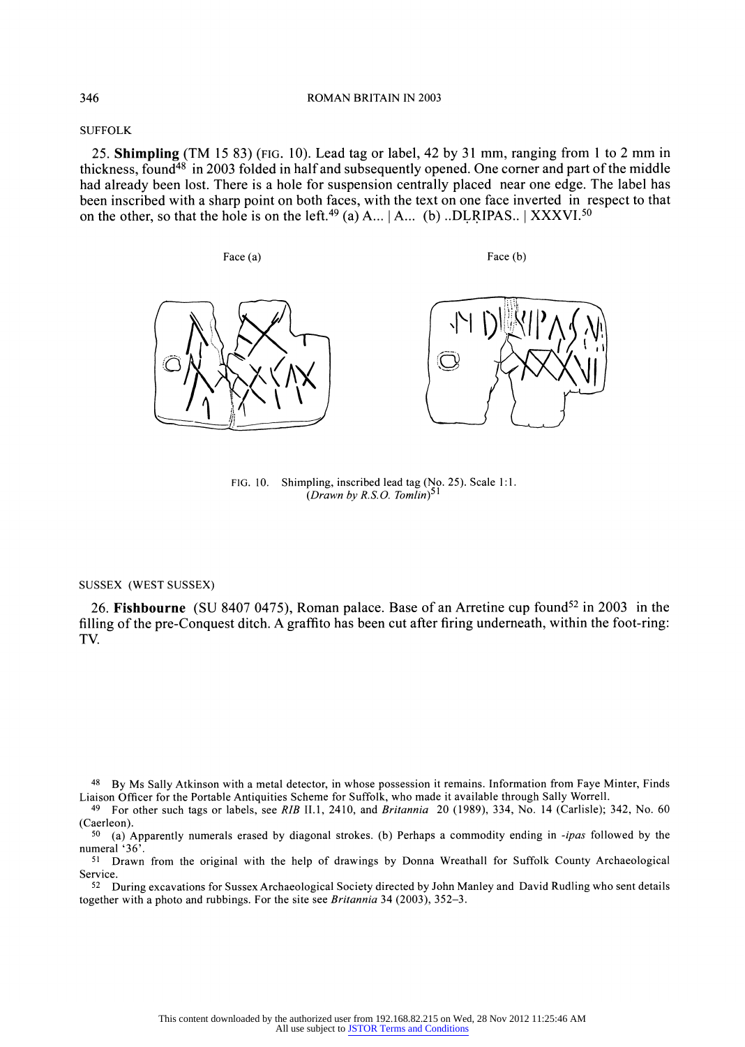**SUFFOLK** 

**25. Shimpling (TM 15 83) (FIG. 10). Lead tag or label, 42 by 31 mm, ranging from 1 to 2 mm in thickness, found48 in 2003 folded in half and subsequently opened. One corner and part of the middle had already been lost. There is a hole for suspension centrally placed near one edge. The label has been inscribed with a sharp point on both faces, with the text on one face inverted in respect to that**  on the other, so that the hole is on the left.<sup>49</sup> (a) A...  $|A...|$  (b) ..DLRIPAS..  $|$  XXXVI.<sup>50</sup>

Face (a) **Face (b)** Face (b)





**FIG. 10. Shimpling, inscribed lead tag (No. 25). Scale 1:1.**  (Drawn by R.S.O. Tomlin)<sup>51</sup>

## **SUSSEX (WEST SUSSEX)**

26. **Fishbourne** (SU 8407 0475), Roman palace. Base of an Arretine cup found<sup>52</sup> in 2003 in the **filling of the pre-Conquest ditch. A graffito has been cut after firing underneath, within the foot-ring: TV.** 

**48 By Ms Sally Atkinson with a metal detector, in whose possession it remains. Information from Faye Minter, Finds Liaison Officer for the Portable Antiquities Scheme for Suffolk, who made it available through Sally Worrell.** 

**49 For other such tags or labels, see RIB II.1, 2410, and Britannia 20 (1989), 334, No. 14 (Carlisle); 342, No. 60 (Caerleon).** 

**50 (a) Apparently numerals erased by diagonal strokes. (b) Perhaps a commodity ending in -ipas followed by the numeral '36'.** 

**51 Drawn from the original with the help of drawings by Donna Wreathall for Suffolk County Archaeological Service.** 

**52 During excavations for Sussex Archaeological Society directed by John Manley and David Rudling who sent details together with a photo and rubbings. For the site see Britannia 34 (2003), 352-3.**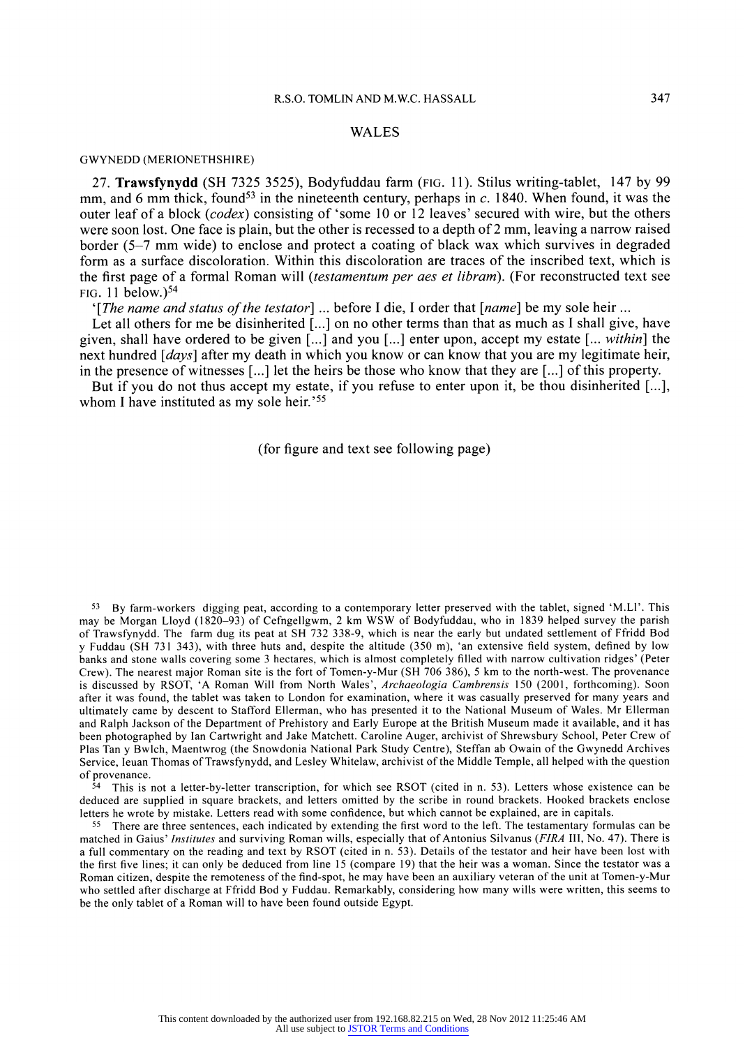## **R.S.O. TOMLIN AND M.W.C. HASSALL 347**

## **WALES**

#### **GWYNEDD (MERIONETHSHIRE)**

**27. Trawsfynydd (SH 7325 3525), Bodyfuddau farm (FIG. 11). Stilus writing-tablet, 147 by 99**  mm, and 6 mm thick, found<sup>53</sup> in the nineteenth century, perhaps in c. 1840. When found, it was the **outer leaf of a block (codex) consisting of 'some 10 or 12 leaves' secured with wire, but the others were soon lost. One face is plain, but the other is recessed to a depth of 2 mm, leaving a narrow raised border (5-7 mm wide) to enclose and protect a coating of black wax which survives in degraded form as a surface discoloration. Within this discoloration are traces of the inscribed text, which is the first page of a formal Roman will (testamentum per aes et libram). (For reconstructed text see FIG. 11 below.)54** 

**'[The name and status of the testator] ... before I die, I order that [name] be my sole heir ...** 

**Let all others for me be disinherited [...] on no other terms than that as much as I shall give, have given, shall have ordered to be given [...] and you [...] enter upon, accept my estate [... within] the next hundred [days] after my death in which you know or can know that you are my legitimate heir, in the presence of witnesses [...] let the heirs be those who know that they are [...] of this property.** 

**But if you do not thus accept my estate, if you refuse to enter upon it, be thou disinherited [...], whom I have instituted as my sole heir.'55** 

**(for figure and text see following page)** 

**<sup>53</sup>By farm-workers digging peat, according to a contemporary letter preserved with the tablet, signed 'M.Ll'. This may be Morgan Lloyd (1820-93) of Cefngellgwm, 2 km WSW of Bodyfuddau, who in 1839 helped survey the parish of Trawsfynydd. The farm dug its peat at SH 732 338-9, which is near the early but undated settlement of Ffridd Bod y Fuddau (SH 731 343), with three huts and, despite the altitude (350 m), 'an extensive field system, defined by low banks and stone walls covering some 3 hectares, which is almost completely filled with narrow cultivation ridges' (Peter Crew). The nearest major Roman site is the fort of Tomen-y-Mur (SH 706 386), 5 km to the north-west. The provenance is discussed by RSOT, 'A Roman Will from North Wales', Archaeologia Cambrensis 150 (2001, forthcoming). Soon after it was found, the tablet was taken to London for examination, where it was casually preserved for many years and ultimately came by descent to Stafford Ellerman, who has presented it to the National Museum of Wales. Mr Ellerman and Ralph Jackson of the Department of Prehistory and Early Europe at the British Museum made it available, and it has been photographed by Ian Cartwright and Jake Matchett. Caroline Auger, archivist of Shrewsbury School, Peter Crew of Plas Tan y Bwlch, Maentwrog (the Snowdonia National Park Study Centre), Steffan ab Owain of the Gwynedd Archives Service, Ieuan Thomas of Trawsfynydd, and Lesley Whitelaw, archivist of the Middle Temple, all helped with the question of provenance.** 

**<sup>54</sup>This is not a letter-by-letter transcription, for which see RSOT (cited in n. 53). Letters whose existence can be deduced are supplied in square brackets, and letters omitted by the scribe in round brackets. Hooked brackets enclose letters he wrote by mistake. Letters read with some confidence, but which cannot be explained, are in capitals.** 

**<sup>55</sup>There are three sentences, each indicated by extending the first word to the left. The testamentary formulas can be matched in Gaius' Institutes and surviving Roman wills, especially that of Antonius Silvanus (FIRA III, No. 47). There is a full commentary on the reading and text by RSOT (cited in n. 53). Details of the testator and heir have been lost with the first five lines; it can only be deduced from line 15 (compare 19) that the heir was a woman. Since the testator was a Roman citizen, despite the remoteness of the find-spot, he may have been an auxiliary veteran of the unit at Tomen-y-Mur who settled after discharge at Ffridd Bod y Fuddau. Remarkably, considering how many wills were written, this seems to be the only tablet of a Roman will to have been found outside Egypt.**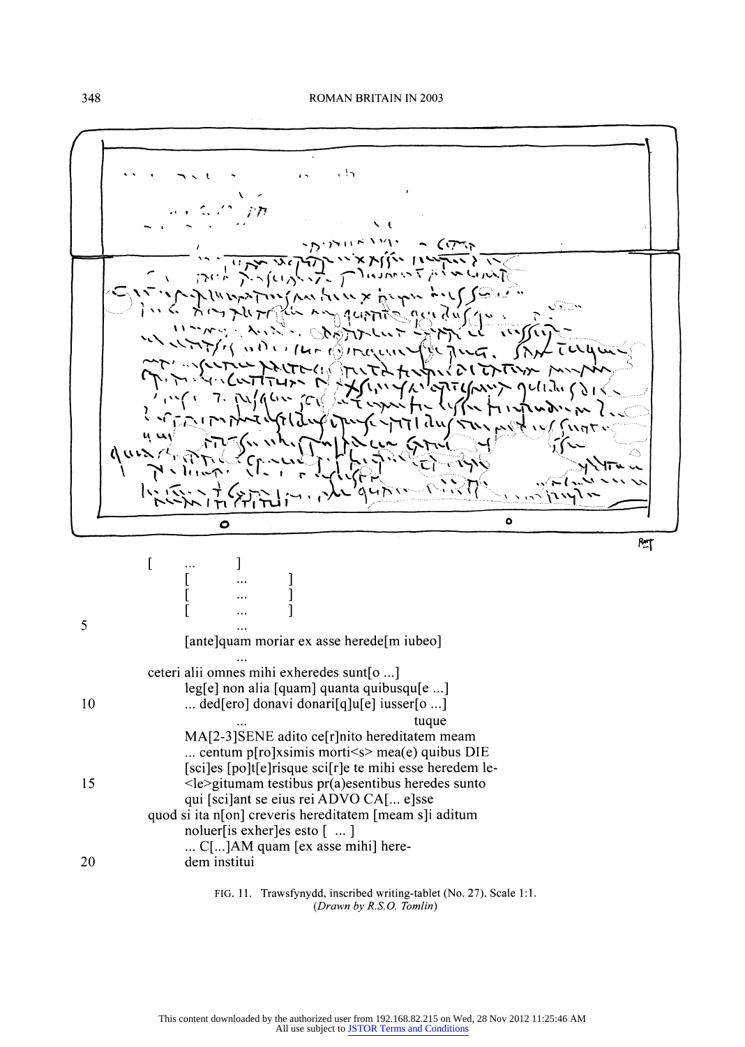